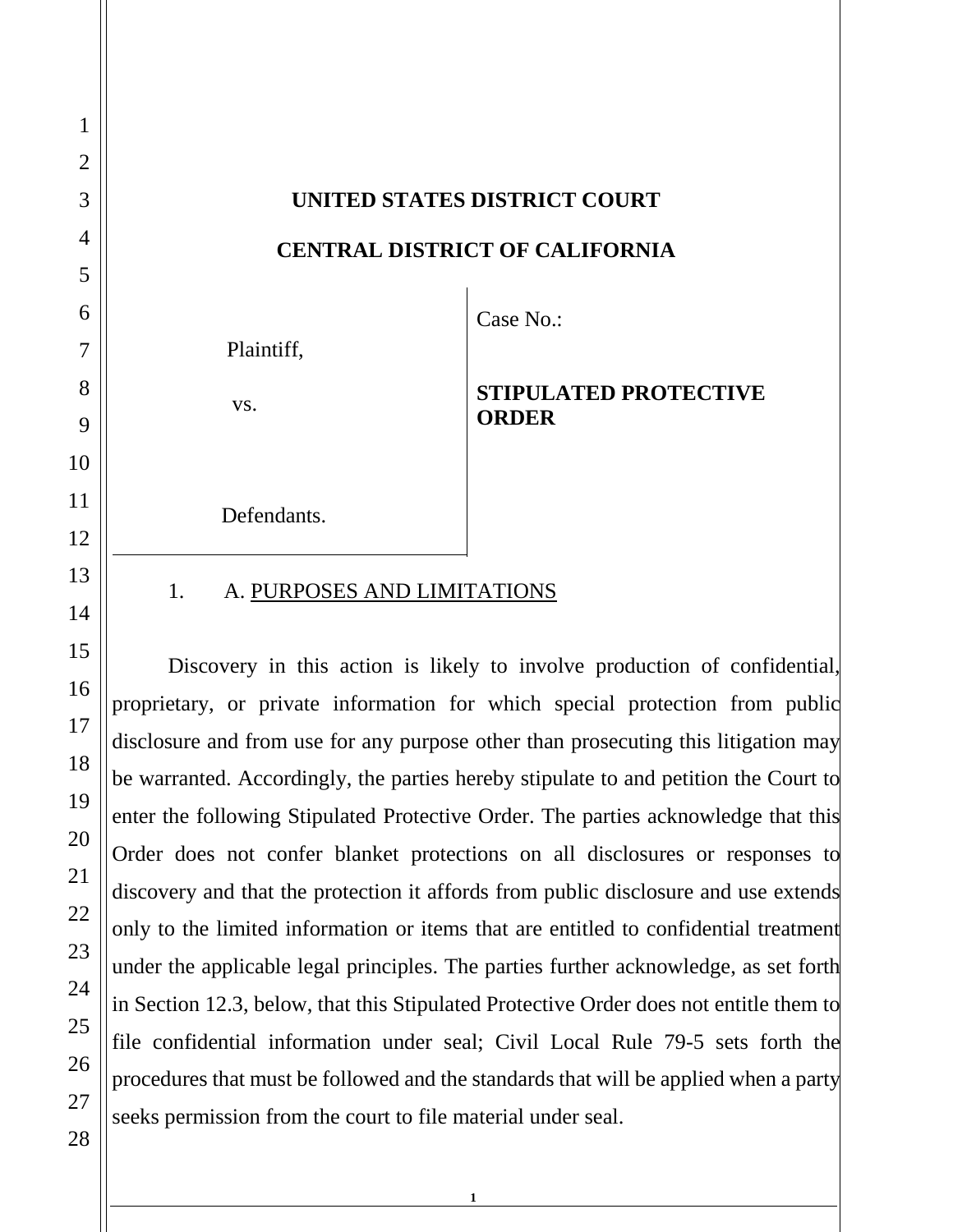**UNITED STATES DISTRICT COURT CENTRAL DISTRICT OF CALIFORNIA** Plaintiff, Case No.:

vs.

# **ORDER**

**STIPULATED PROTECTIVE** 

Defendants.

# 1. A. PURPOSES AND LIMITATIONS

Discovery in this action is likely to involve production of confidential, proprietary, or private information for which special protection from public disclosure and from use for any purpose other than prosecuting this litigation may be warranted. Accordingly, the parties hereby stipulate to and petition the Court to enter the following Stipulated Protective Order. The parties acknowledge that this Order does not confer blanket protections on all disclosures or responses to discovery and that the protection it affords from public disclosure and use extends only to the limited information or items that are entitled to confidential treatment under the applicable legal principles. The parties further acknowledge, as set forth in Section 12.3, below, that this Stipulated Protective Order does not entitle them to file confidential information under seal; Civil Local Rule 79-5 sets forth the procedures that must be followed and the standards that will be applied when a party seeks permission from the court to file material under seal.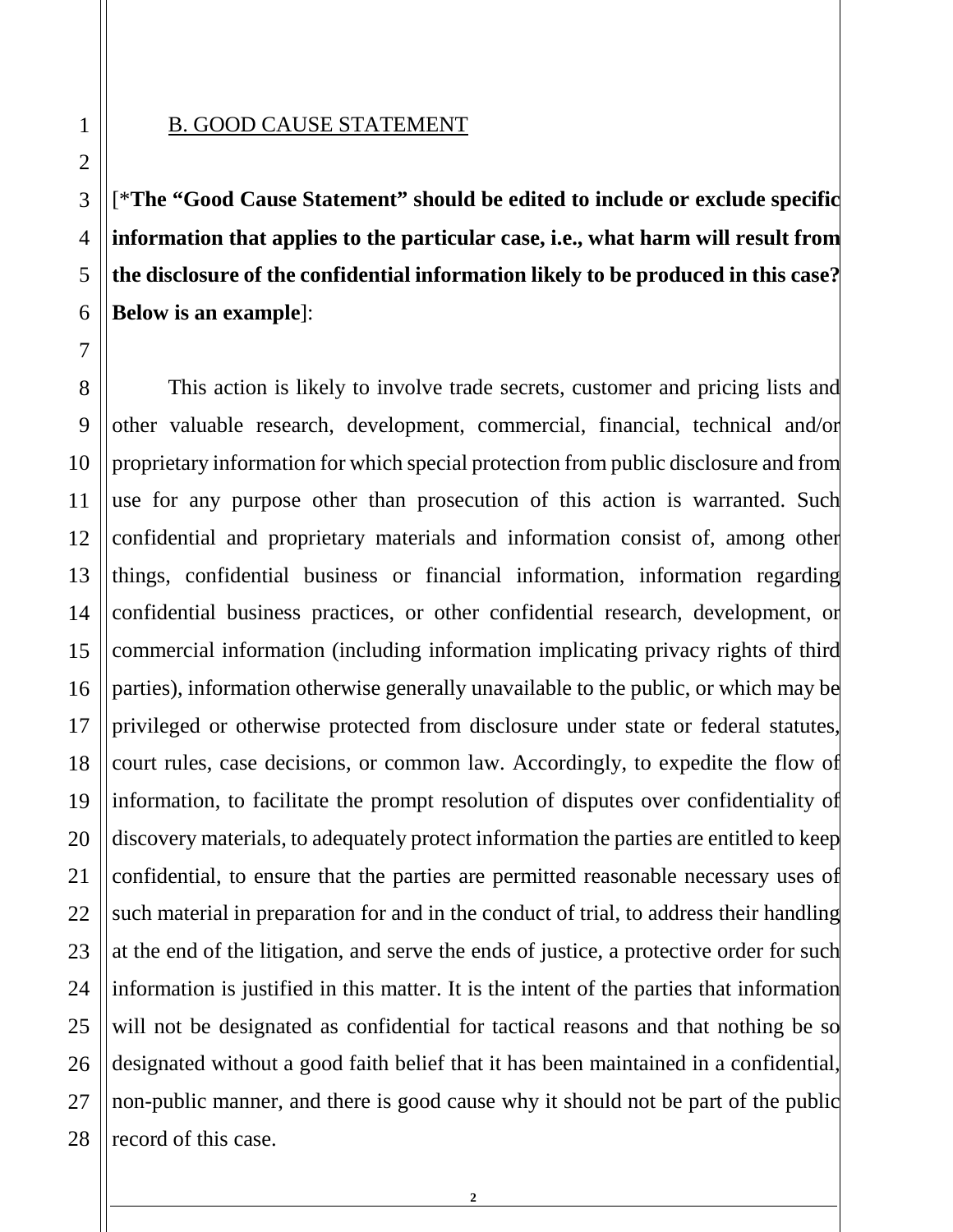#### B. GOOD CAUSE STATEMENT

[\***The "Good Cause Statement" should be edited to include or exclude specific information that applies to the particular case, i.e., what harm will result from the disclosure of the confidential information likely to be produced in this case? Below is an example**]:

This action is likely to involve trade secrets, customer and pricing lists and other valuable research, development, commercial, financial, technical and/or proprietary information for which special protection from public disclosure and from use for any purpose other than prosecution of this action is warranted. Such confidential and proprietary materials and information consist of, among other things, confidential business or financial information, information regarding confidential business practices, or other confidential research, development, or commercial information (including information implicating privacy rights of third parties), information otherwise generally unavailable to the public, or which may be privileged or otherwise protected from disclosure under state or federal statutes, court rules, case decisions, or common law. Accordingly, to expedite the flow of information, to facilitate the prompt resolution of disputes over confidentiality of discovery materials, to adequately protect information the parties are entitled to keep confidential, to ensure that the parties are permitted reasonable necessary uses of such material in preparation for and in the conduct of trial, to address their handling at the end of the litigation, and serve the ends of justice, a protective order for such information is justified in this matter. It is the intent of the parties that information will not be designated as confidential for tactical reasons and that nothing be so designated without a good faith belief that it has been maintained in a confidential, non-public manner, and there is good cause why it should not be part of the public record of this case.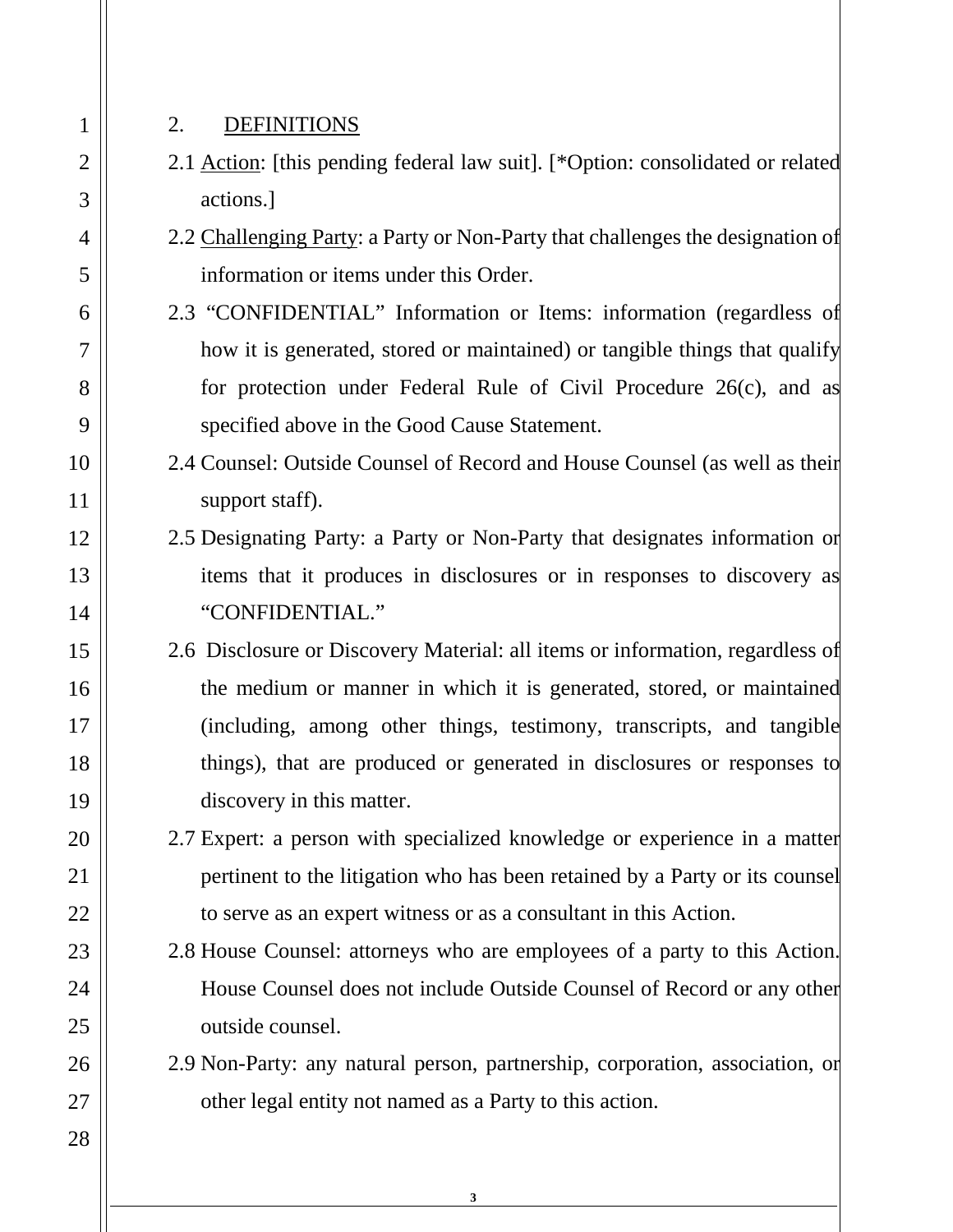28

#### 2. DEFINITIONS

- 2.1 Action: [this pending federal law suit]. [\*Option: consolidated or related actions.]
- 2.2 Challenging Party: a Party or Non-Party that challenges the designation of information or items under this Order.
- 2.3 "CONFIDENTIAL" Information or Items: information (regardless of how it is generated, stored or maintained) or tangible things that qualify for protection under Federal Rule of Civil Procedure 26(c), and as specified above in the Good Cause Statement.
- 2.4 Counsel: Outside Counsel of Record and House Counsel (as well as their support staff).
- 2.5 Designating Party: a Party or Non-Party that designates information or items that it produces in disclosures or in responses to discovery as "CONFIDENTIAL."
- 2.6 Disclosure or Discovery Material: all items or information, regardless of the medium or manner in which it is generated, stored, or maintained (including, among other things, testimony, transcripts, and tangible things), that are produced or generated in disclosures or responses to discovery in this matter.
- 2.7 Expert: a person with specialized knowledge or experience in a matter pertinent to the litigation who has been retained by a Party or its counsel to serve as an expert witness or as a consultant in this Action.
- 2.8 House Counsel: attorneys who are employees of a party to this Action. House Counsel does not include Outside Counsel of Record or any other outside counsel.
- 2.9 Non-Party: any natural person, partnership, corporation, association, or other legal entity not named as a Party to this action.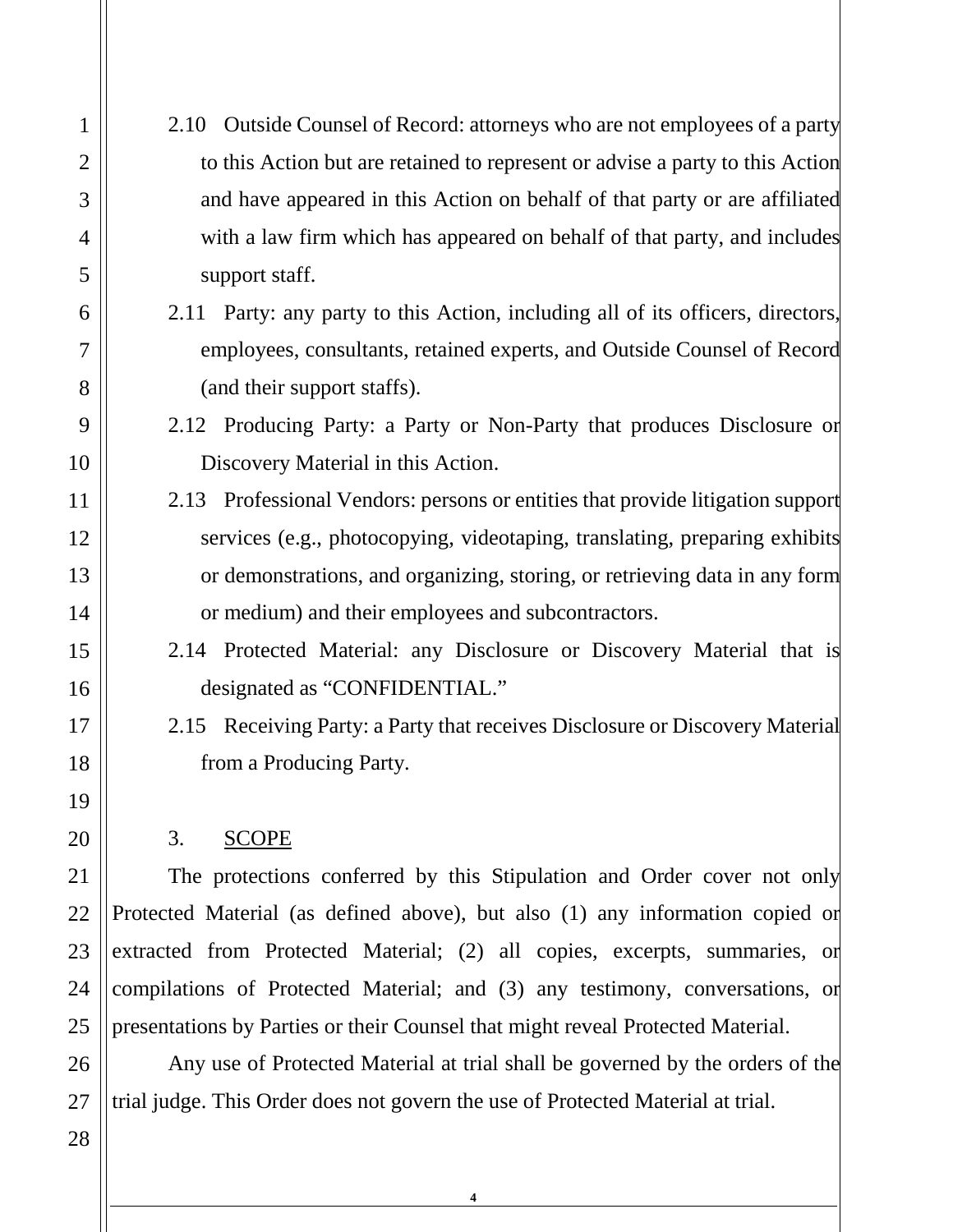- 1 2 3 4 5 6 7 8 9 10 11 12 13 14 15 16 17 18 19 20 21 22 23 24 25 26 27 28
- 2.10 Outside Counsel of Record: attorneys who are not employees of a party to this Action but are retained to represent or advise a party to this Action and have appeared in this Action on behalf of that party or are affiliated with a law firm which has appeared on behalf of that party, and includes support staff.
- 2.11 Party: any party to this Action, including all of its officers, directors, employees, consultants, retained experts, and Outside Counsel of Record (and their support staffs).
- 2.12 Producing Party: a Party or Non-Party that produces Disclosure or Discovery Material in this Action.
- 2.13 Professional Vendors: persons or entities that provide litigation support services (e.g., photocopying, videotaping, translating, preparing exhibits or demonstrations, and organizing, storing, or retrieving data in any form or medium) and their employees and subcontractors.
- 2.14 Protected Material: any Disclosure or Discovery Material that is designated as "CONFIDENTIAL."
- 2.15 Receiving Party: a Party that receives Disclosure or Discovery Material from a Producing Party.

### 3. SCOPE

The protections conferred by this Stipulation and Order cover not only Protected Material (as defined above), but also (1) any information copied or extracted from Protected Material; (2) all copies, excerpts, summaries, or compilations of Protected Material; and (3) any testimony, conversations, or presentations by Parties or their Counsel that might reveal Protected Material.

Any use of Protected Material at trial shall be governed by the orders of the trial judge. This Order does not govern the use of Protected Material at trial.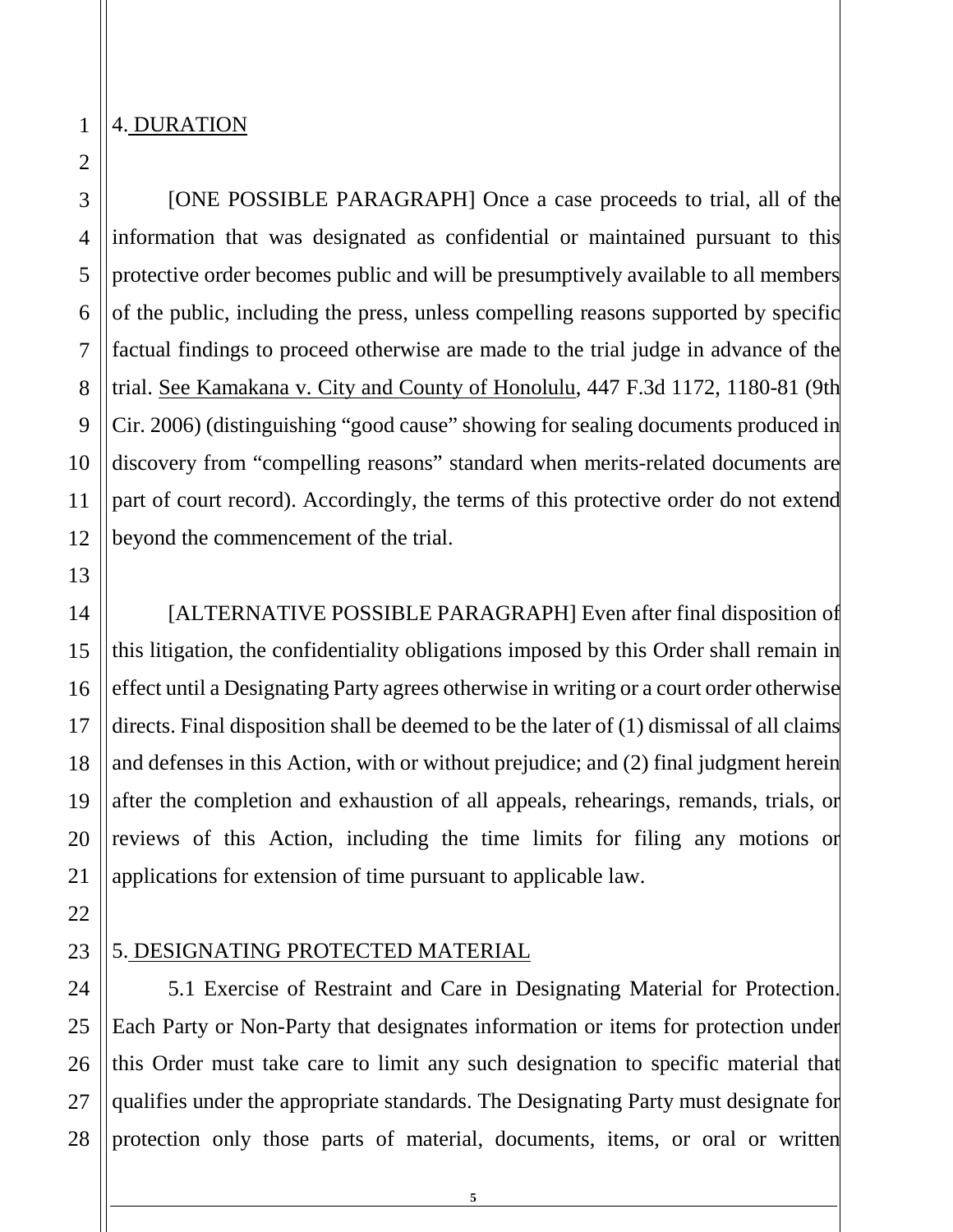## 4. DURATION

12

13

14

15

16

17

18

19

20

21

22

[ONE POSSIBLE PARAGRAPH] Once a case proceeds to trial, all of the information that was designated as confidential or maintained pursuant to this protective order becomes public and will be presumptively available to all members of the public, including the press, unless compelling reasons supported by specific factual findings to proceed otherwise are made to the trial judge in advance of the trial. See Kamakana v. City and County of Honolulu, 447 F.3d 1172, 1180-81 (9th Cir. 2006) (distinguishing "good cause" showing for sealing documents produced in discovery from "compelling reasons" standard when merits-related documents are part of court record). Accordingly, the terms of this protective order do not extend beyond the commencement of the trial.

[ALTERNATIVE POSSIBLE PARAGRAPH] Even after final disposition of this litigation, the confidentiality obligations imposed by this Order shall remain in effect until a Designating Party agrees otherwise in writing or a court order otherwise directs. Final disposition shall be deemed to be the later of (1) dismissal of all claims and defenses in this Action, with or without prejudice; and (2) final judgment herein after the completion and exhaustion of all appeals, rehearings, remands, trials, or reviews of this Action, including the time limits for filing any motions or applications for extension of time pursuant to applicable law.

23

#### 5. DESIGNATING PROTECTED MATERIAL

24 25 26 27 28 5.1 Exercise of Restraint and Care in Designating Material for Protection. Each Party or Non-Party that designates information or items for protection under this Order must take care to limit any such designation to specific material that qualifies under the appropriate standards. The Designating Party must designate for protection only those parts of material, documents, items, or oral or written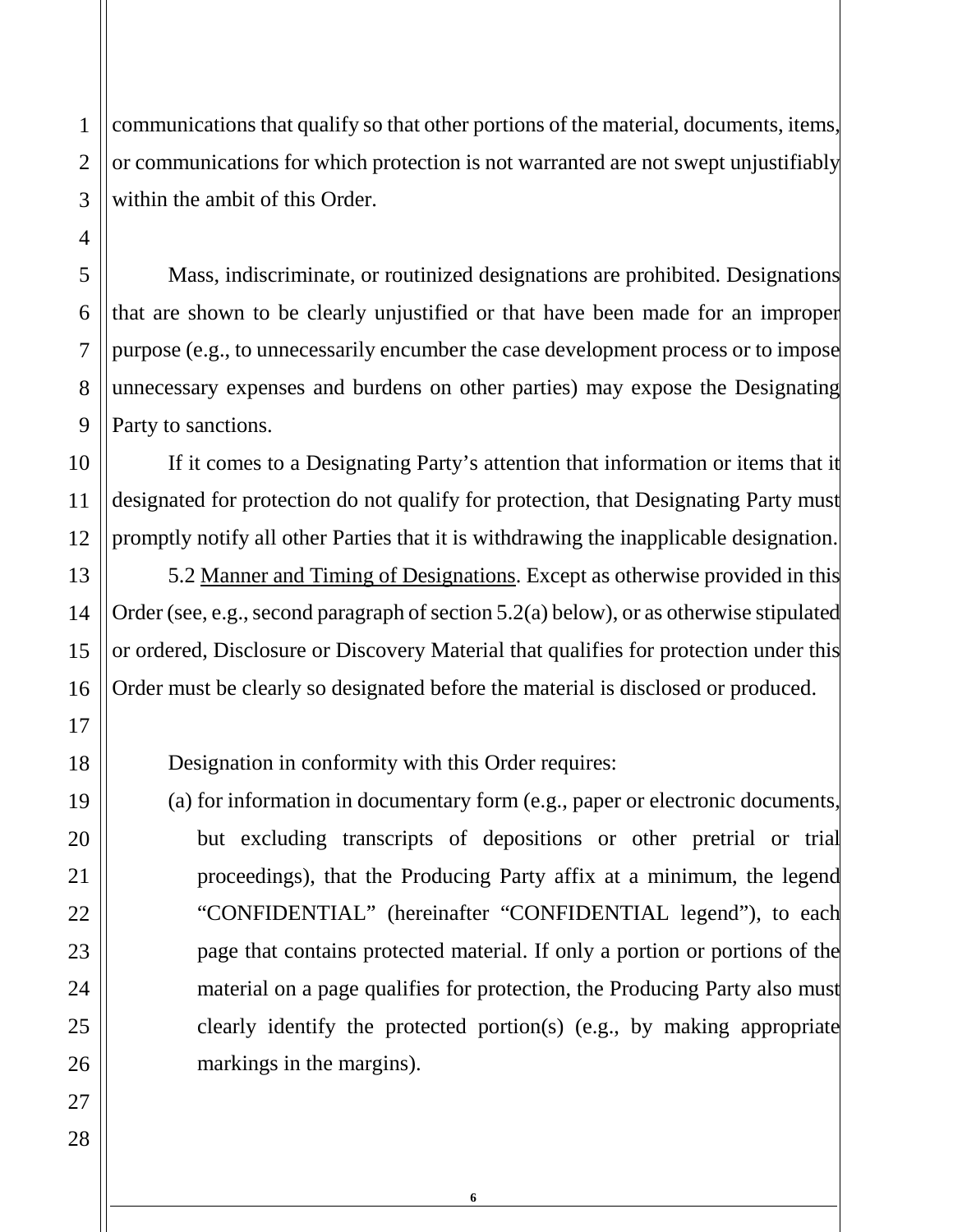communications that qualify so that other portions of the material, documents, items, or communications for which protection is not warranted are not swept unjustifiably within the ambit of this Order.

Mass, indiscriminate, or routinized designations are prohibited. Designations that are shown to be clearly unjustified or that have been made for an improper purpose (e.g., to unnecessarily encumber the case development process or to impose unnecessary expenses and burdens on other parties) may expose the Designating Party to sanctions.

If it comes to a Designating Party's attention that information or items that it designated for protection do not qualify for protection, that Designating Party must promptly notify all other Parties that it is withdrawing the inapplicable designation.

5.2 Manner and Timing of Designations. Except as otherwise provided in this Order (see, e.g., second paragraph of section  $5.2(a)$  below), or as otherwise stipulated or ordered, Disclosure or Discovery Material that qualifies for protection under this Order must be clearly so designated before the material is disclosed or produced.

Designation in conformity with this Order requires:

(a) for information in documentary form (e.g., paper or electronic documents, but excluding transcripts of depositions or other pretrial or trial proceedings), that the Producing Party affix at a minimum, the legend "CONFIDENTIAL" (hereinafter "CONFIDENTIAL legend"), to each page that contains protected material. If only a portion or portions of the material on a page qualifies for protection, the Producing Party also must clearly identify the protected portion(s) (e.g., by making appropriate markings in the margins).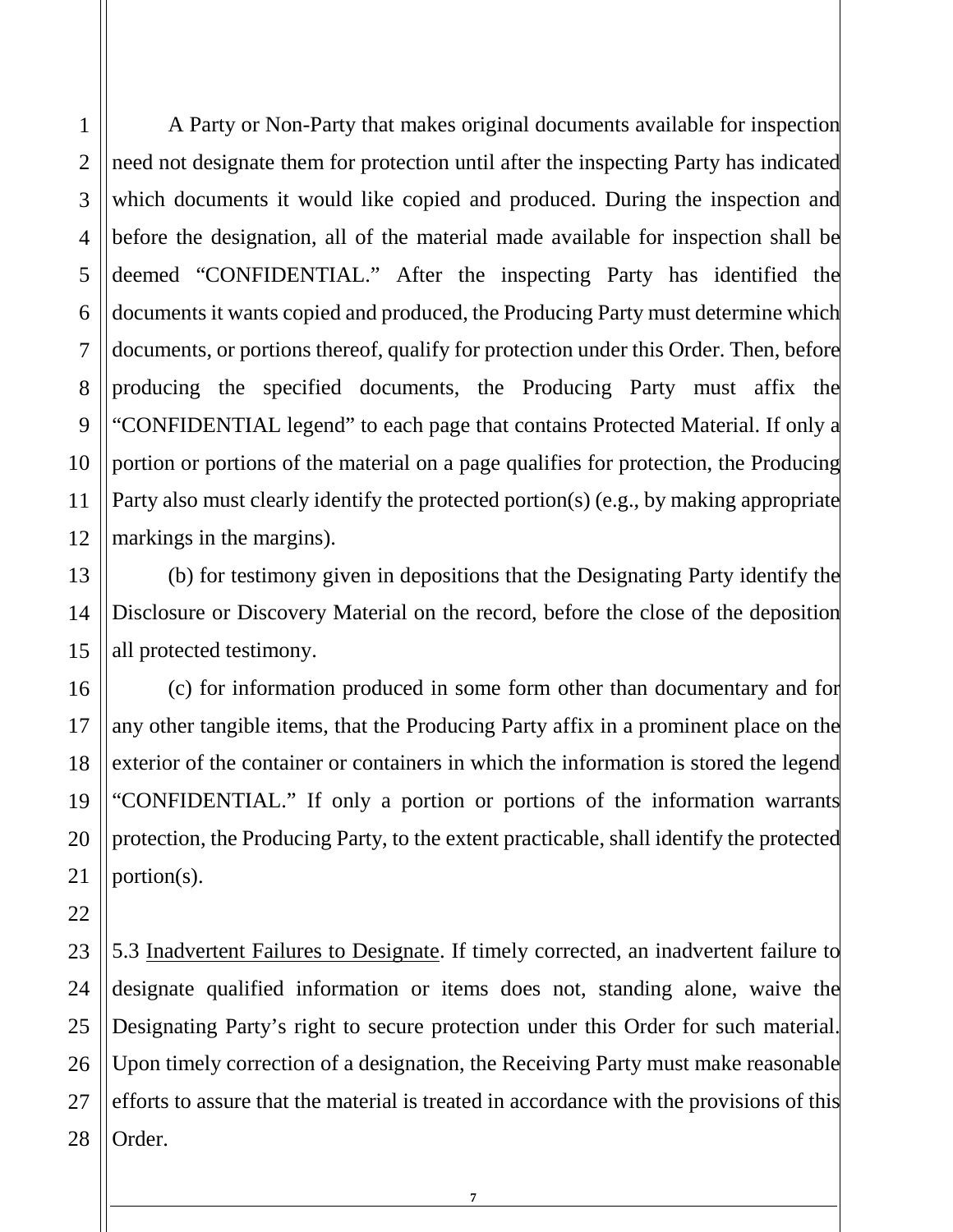A Party or Non-Party that makes original documents available for inspection need not designate them for protection until after the inspecting Party has indicated which documents it would like copied and produced. During the inspection and before the designation, all of the material made available for inspection shall be deemed "CONFIDENTIAL." After the inspecting Party has identified the documents it wants copied and produced, the Producing Party must determine which documents, or portions thereof, qualify for protection under this Order. Then, before producing the specified documents, the Producing Party must affix the "CONFIDENTIAL legend" to each page that contains Protected Material. If only a portion or portions of the material on a page qualifies for protection, the Producing Party also must clearly identify the protected portion(s) (e.g., by making appropriate markings in the margins).

(b) for testimony given in depositions that the Designating Party identify the Disclosure or Discovery Material on the record, before the close of the deposition all protected testimony.

(c) for information produced in some form other than documentary and for any other tangible items, that the Producing Party affix in a prominent place on the exterior of the container or containers in which the information is stored the legend "CONFIDENTIAL." If only a portion or portions of the information warrants protection, the Producing Party, to the extent practicable, shall identify the protected portion(s).

5.3 Inadvertent Failures to Designate. If timely corrected, an inadvertent failure to designate qualified information or items does not, standing alone, waive the Designating Party's right to secure protection under this Order for such material. Upon timely correction of a designation, the Receiving Party must make reasonable efforts to assure that the material is treated in accordance with the provisions of this Order.

**7**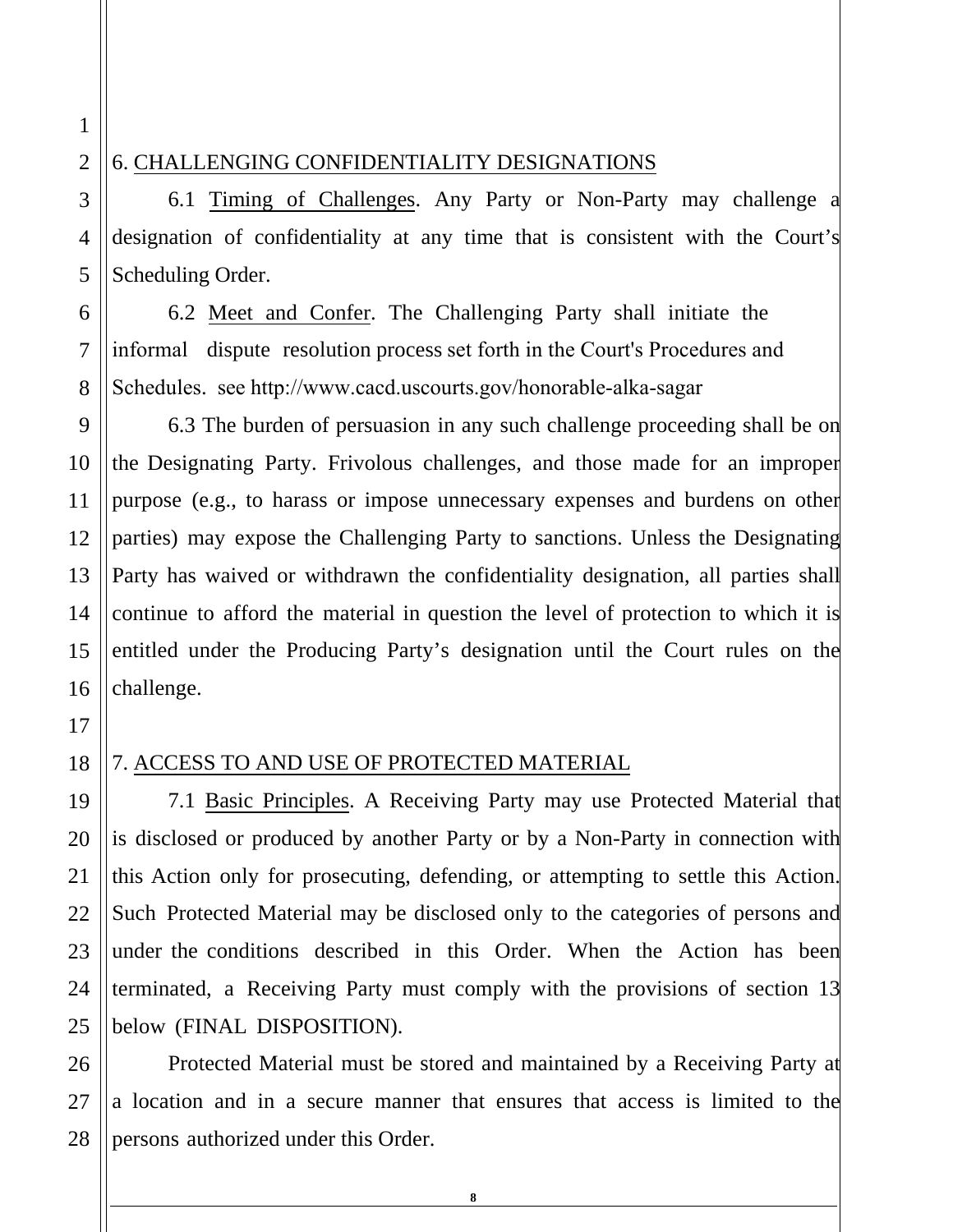## 6. CHALLENGING CONFIDENTIALITY DESIGNATIONS

6.1 Timing of Challenges. Any Party or Non-Party may challenge a designation of confidentiality at any time that is consistent with the Court's Scheduling Order.

6.2 Meet and Confer. The Challenging Party shall initiate the informal dispute resolution process set forth in the Court's Procedures and Schedules. see http://www.cacd.uscourts.gov/honorable-alka-sagar

6.3 The burden of persuasion in any such challenge proceeding shall be on the Designating Party. Frivolous challenges, and those made for an improper purpose (e.g., to harass or impose unnecessary expenses and burdens on other parties) may expose the Challenging Party to sanctions. Unless the Designating Party has waived or withdrawn the confidentiality designation, all parties shall continue to afford the material in question the level of protection to which it is entitled under the Producing Party's designation until the Court rules on the challenge.

## 18

19

20

21

22

23

24

25

### 7. ACCESS TO AND USE OF PROTECTED MATERIAL

7.1 Basic Principles. A Receiving Party may use Protected Material that is disclosed or produced by another Party or by a Non-Party in connection with this Action only for prosecuting, defending, or attempting to settle this Action. Such Protected Material may be disclosed only to the categories of persons and under the conditions described in this Order. When the Action has been terminated, a Receiving Party must comply with the provisions of section 13 below (FINAL DISPOSITION).

26 27 28 Protected Material must be stored and maintained by a Receiving Party at a location and in a secure manner that ensures that access is limited to the persons authorized under this Order.

**8** 

9

10

11

12

13

14

15

16

17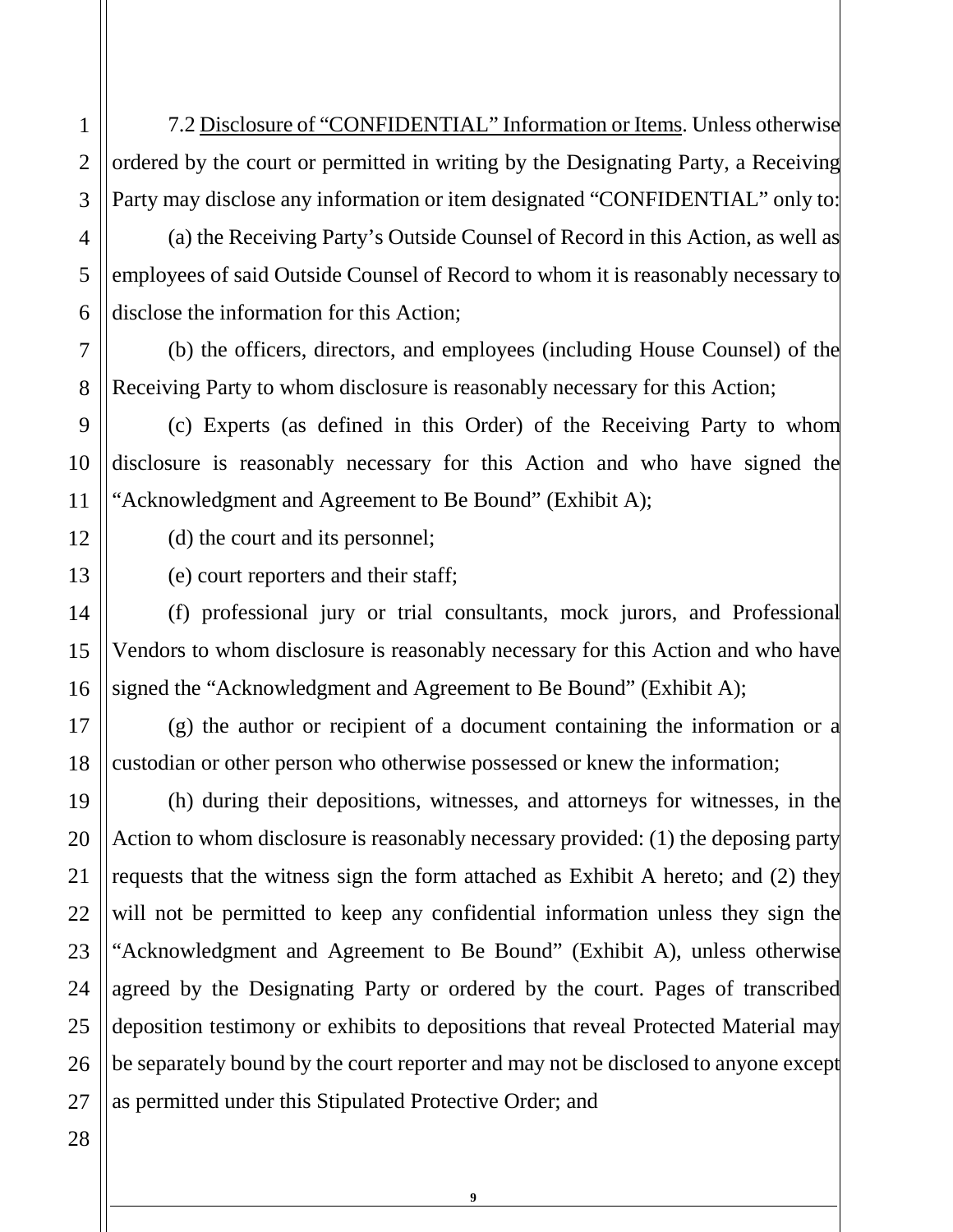7.2 Disclosure of "CONFIDENTIAL" Information or Items. Unless otherwise ordered by the court or permitted in writing by the Designating Party, a Receiving Party may disclose any information or item designated "CONFIDENTIAL" only to:

(a) the Receiving Party's Outside Counsel of Record in this Action, as well as employees of said Outside Counsel of Record to whom it is reasonably necessary to disclose the information for this Action;

(b) the officers, directors, and employees (including House Counsel) of the Receiving Party to whom disclosure is reasonably necessary for this Action;

(c) Experts (as defined in this Order) of the Receiving Party to whom disclosure is reasonably necessary for this Action and who have signed the "Acknowledgment and Agreement to Be Bound" (Exhibit A);

(d) the court and its personnel;

(e) court reporters and their staff;

(f) professional jury or trial consultants, mock jurors, and Professional Vendors to whom disclosure is reasonably necessary for this Action and who have signed the "Acknowledgment and Agreement to Be Bound" (Exhibit A);

(g) the author or recipient of a document containing the information or a custodian or other person who otherwise possessed or knew the information;

(h) during their depositions, witnesses, and attorneys for witnesses, in the Action to whom disclosure is reasonably necessary provided: (1) the deposing party requests that the witness sign the form attached as Exhibit A hereto; and (2) they will not be permitted to keep any confidential information unless they sign the "Acknowledgment and Agreement to Be Bound" (Exhibit A), unless otherwise agreed by the Designating Party or ordered by the court. Pages of transcribed deposition testimony or exhibits to depositions that reveal Protected Material may be separately bound by the court reporter and may not be disclosed to anyone except as permitted under this Stipulated Protective Order; and

**9**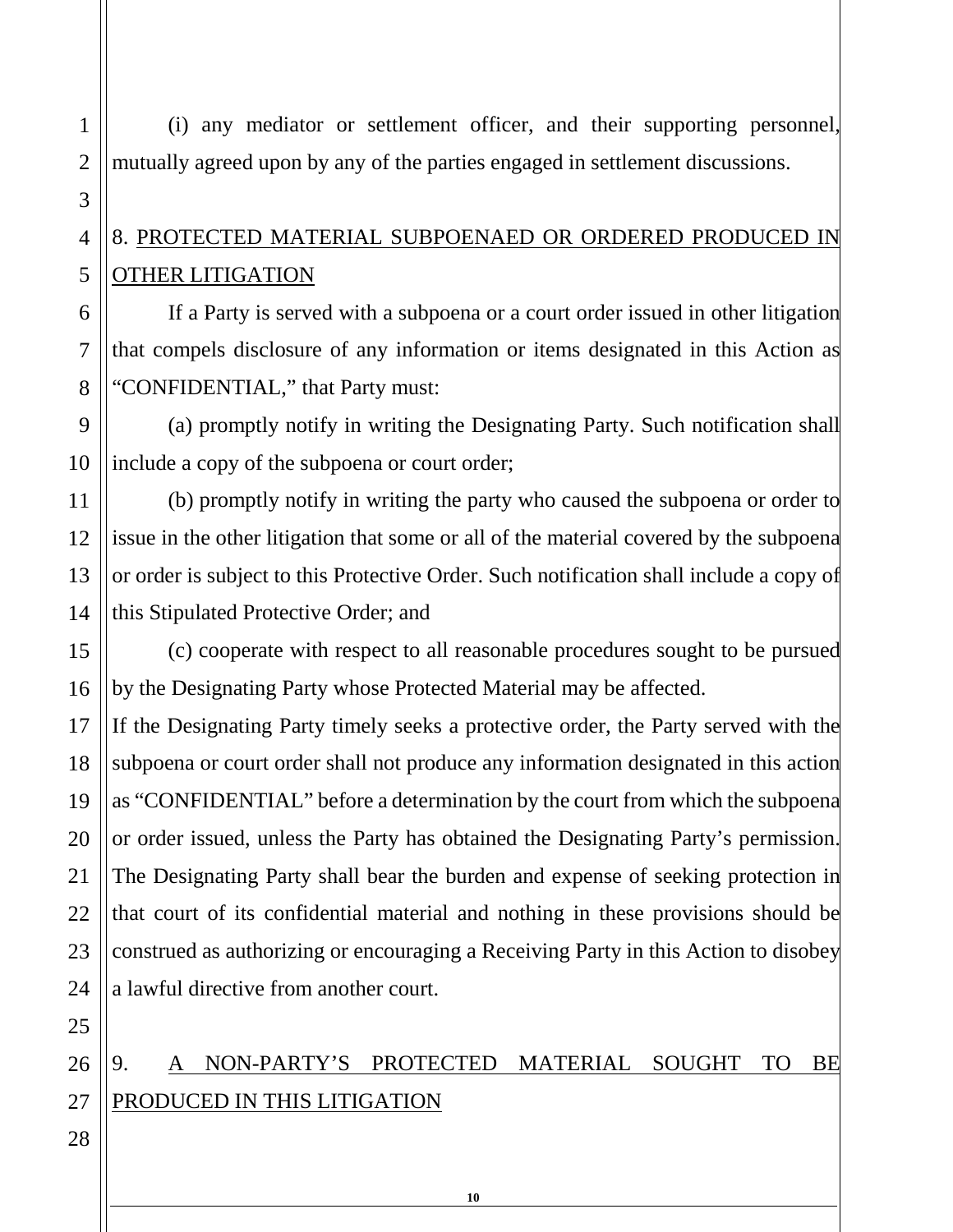(i) any mediator or settlement officer, and their supporting personnel, mutually agreed upon by any of the parties engaged in settlement discussions.

# 8. PROTECTED MATERIAL SUBPOENAED OR ORDERED PRODUCED IN OTHER LITIGATION

If a Party is served with a subpoena or a court order issued in other litigation that compels disclosure of any information or items designated in this Action as "CONFIDENTIAL," that Party must:

(a) promptly notify in writing the Designating Party. Such notification shall include a copy of the subpoena or court order;

(b) promptly notify in writing the party who caused the subpoena or order to issue in the other litigation that some or all of the material covered by the subpoena or order is subject to this Protective Order. Such notification shall include a copy of this Stipulated Protective Order; and

(c) cooperate with respect to all reasonable procedures sought to be pursued by the Designating Party whose Protected Material may be affected.

If the Designating Party timely seeks a protective order, the Party served with the subpoena or court order shall not produce any information designated in this action as "CONFIDENTIAL" before a determination by the court from which the subpoena or order issued, unless the Party has obtained the Designating Party's permission. The Designating Party shall bear the burden and expense of seeking protection in that court of its confidential material and nothing in these provisions should be construed as authorizing or encouraging a Receiving Party in this Action to disobey a lawful directive from another court.

9. A NON-PARTY'S PROTECTED MATERIAL SOUGHT TO BE PRODUCED IN THIS LITIGATION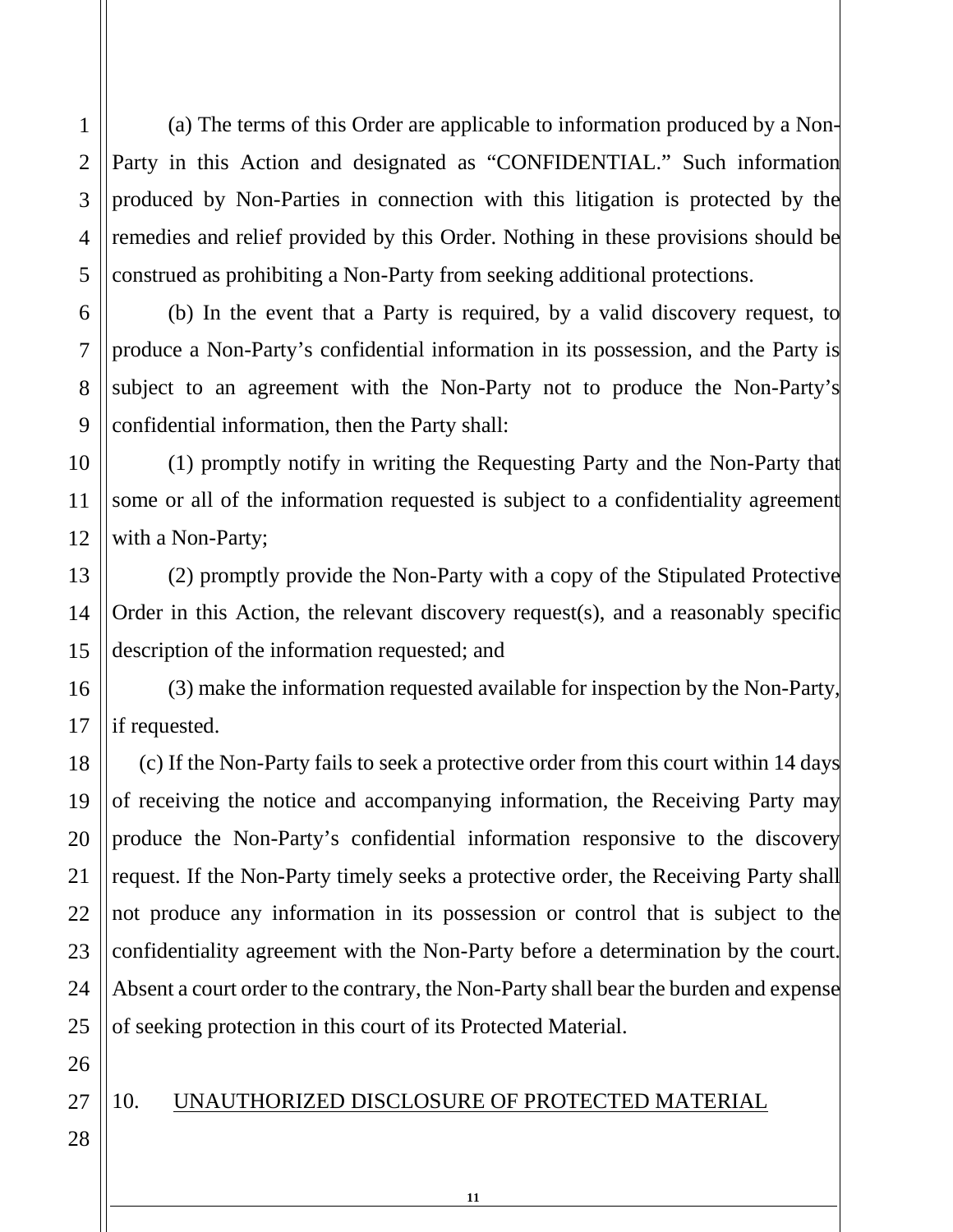(a) The terms of this Order are applicable to information produced by a Non-Party in this Action and designated as "CONFIDENTIAL." Such information produced by Non-Parties in connection with this litigation is protected by the remedies and relief provided by this Order. Nothing in these provisions should be construed as prohibiting a Non-Party from seeking additional protections.

(b) In the event that a Party is required, by a valid discovery request, to produce a Non-Party's confidential information in its possession, and the Party is subject to an agreement with the Non-Party not to produce the Non-Party's confidential information, then the Party shall:

(1) promptly notify in writing the Requesting Party and the Non-Party that some or all of the information requested is subject to a confidentiality agreement with a Non-Party;

(2) promptly provide the Non-Party with a copy of the Stipulated Protective Order in this Action, the relevant discovery request(s), and a reasonably specific description of the information requested; and

(3) make the information requested available for inspection by the Non-Party, if requested.

(c) If the Non-Party fails to seek a protective order from this court within 14 days of receiving the notice and accompanying information, the Receiving Party may produce the Non-Party's confidential information responsive to the discovery request. If the Non-Party timely seeks a protective order, the Receiving Party shall not produce any information in its possession or control that is subject to the confidentiality agreement with the Non-Party before a determination by the court. Absent a court order to the contrary, the Non-Party shall bear the burden and expense of seeking protection in this court of its Protected Material.

26

1

2

3

4

5

6

7

8

9

10

11

12

13

14

15

16

17

18

19

20

21

22

23

24

25

27

### 10. UNAUTHORIZED DISCLOSURE OF PROTECTED MATERIAL

**11**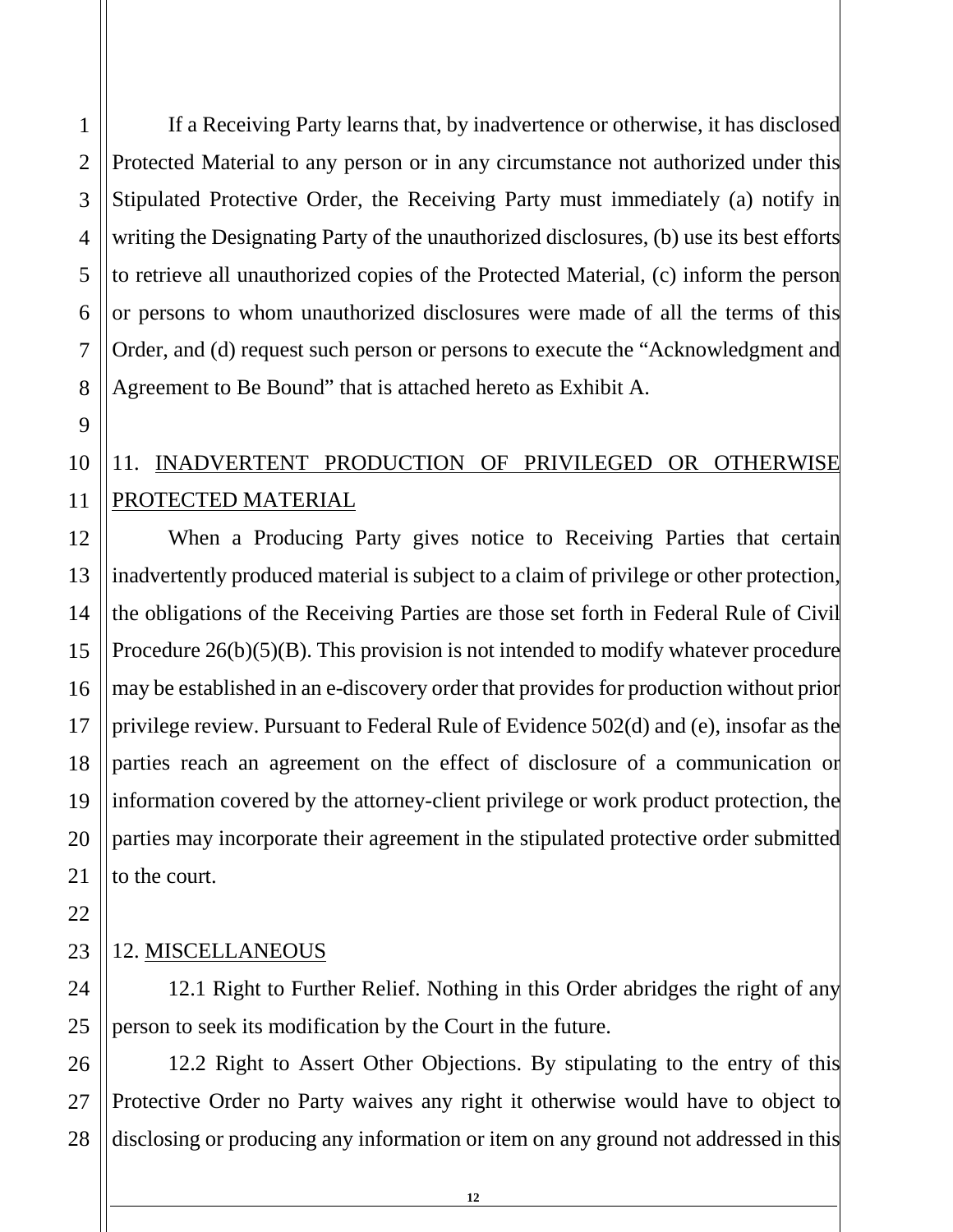1

2

3

4

If a Receiving Party learns that, by inadvertence or otherwise, it has disclosed Protected Material to any person or in any circumstance not authorized under this Stipulated Protective Order, the Receiving Party must immediately (a) notify in writing the Designating Party of the unauthorized disclosures, (b) use its best efforts to retrieve all unauthorized copies of the Protected Material, (c) inform the person or persons to whom unauthorized disclosures were made of all the terms of this Order, and (d) request such person or persons to execute the "Acknowledgment and Agreement to Be Bound" that is attached hereto as Exhibit A.

# 11. INADVERTENT PRODUCTION OF PRIVILEGED OR OTHERWISE PROTECTED MATERIAL

When a Producing Party gives notice to Receiving Parties that certain inadvertently produced material is subject to a claim of privilege or other protection, the obligations of the Receiving Parties are those set forth in Federal Rule of Civil Procedure 26(b)(5)(B). This provision is not intended to modify whatever procedure may be established in an e-discovery order that provides for production without prior privilege review. Pursuant to Federal Rule of Evidence 502(d) and (e), insofar as the parties reach an agreement on the effect of disclosure of a communication or information covered by the attorney-client privilege or work product protection, the parties may incorporate their agreement in the stipulated protective order submitted to the court.

# 12. MISCELLANEOUS

12.1 Right to Further Relief. Nothing in this Order abridges the right of any person to seek its modification by the Court in the future.

27 28 12.2 Right to Assert Other Objections. By stipulating to the entry of this Protective Order no Party waives any right it otherwise would have to object to disclosing or producing any information or item on any ground not addressed in this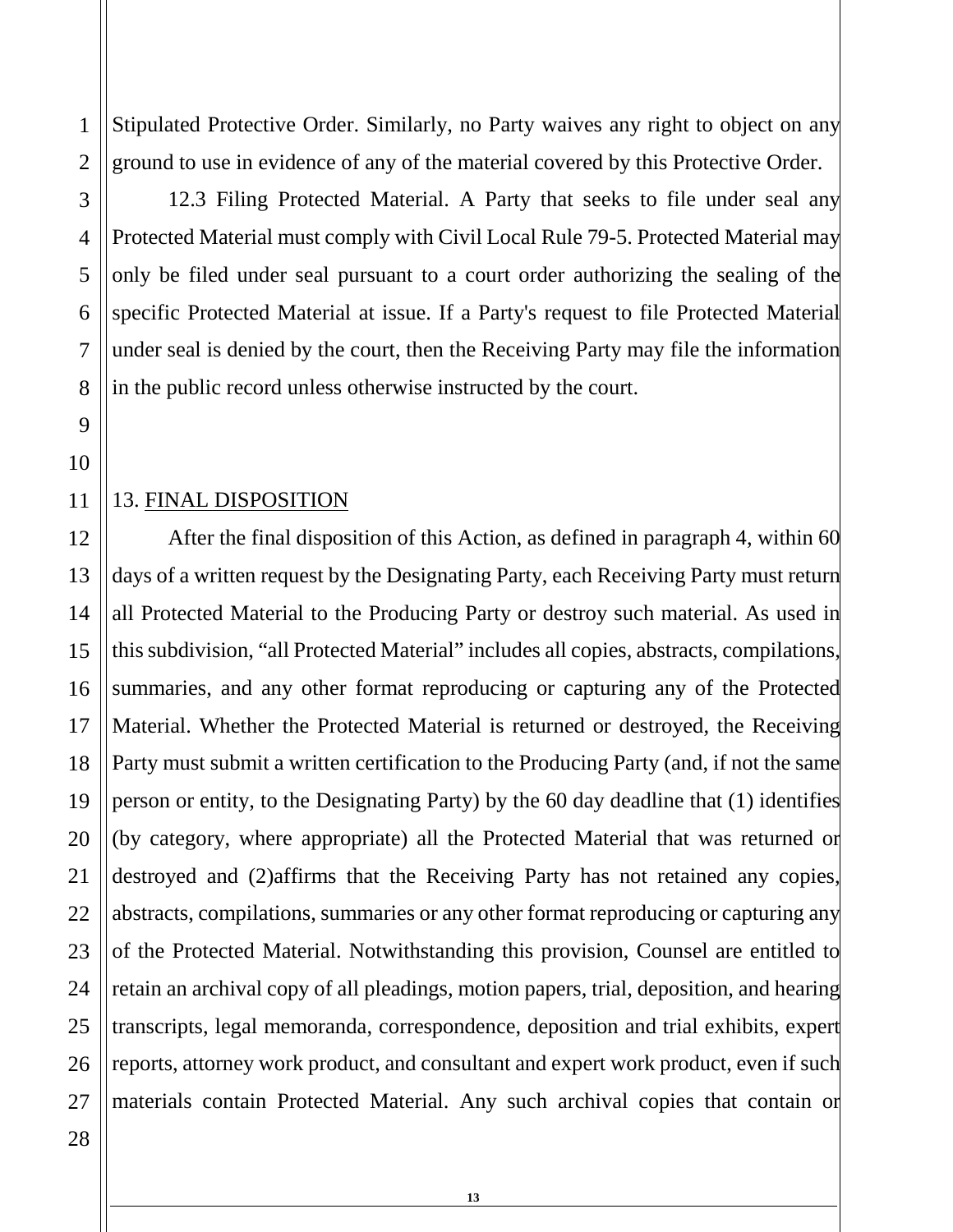Stipulated Protective Order. Similarly, no Party waives any right to object on any ground to use in evidence of any of the material covered by this Protective Order.

12.3 Filing Protected Material. A Party that seeks to file under seal any Protected Material must comply with Civil Local Rule 79-5. Protected Material may only be filed under seal pursuant to a court order authorizing the sealing of the specific Protected Material at issue. If a Party's request to file Protected Material under seal is denied by the court, then the Receiving Party may file the information in the public record unless otherwise instructed by the court.

13. FINAL DISPOSITION

12 After the final disposition of this Action, as defined in paragraph 4, within 60 days of a written request by the Designating Party, each Receiving Party must return all Protected Material to the Producing Party or destroy such material. As used in this subdivision, "all Protected Material" includes all copies, abstracts, compilations, summaries, and any other format reproducing or capturing any of the Protected Material. Whether the Protected Material is returned or destroyed, the Receiving Party must submit a written certification to the Producing Party (and, if not the same person or entity, to the Designating Party) by the 60 day deadline that (1) identifies (by category, where appropriate) all the Protected Material that was returned or destroyed and (2)affirms that the Receiving Party has not retained any copies, abstracts, compilations, summaries or any other format reproducing or capturing any of the Protected Material. Notwithstanding this provision, Counsel are entitled to retain an archival copy of all pleadings, motion papers, trial, deposition, and hearing transcripts, legal memoranda, correspondence, deposition and trial exhibits, expert reports, attorney work product, and consultant and expert work product, even if such materials contain Protected Material. Any such archival copies that contain or

**13**

1

2

3

4

5

6

7

8

9

10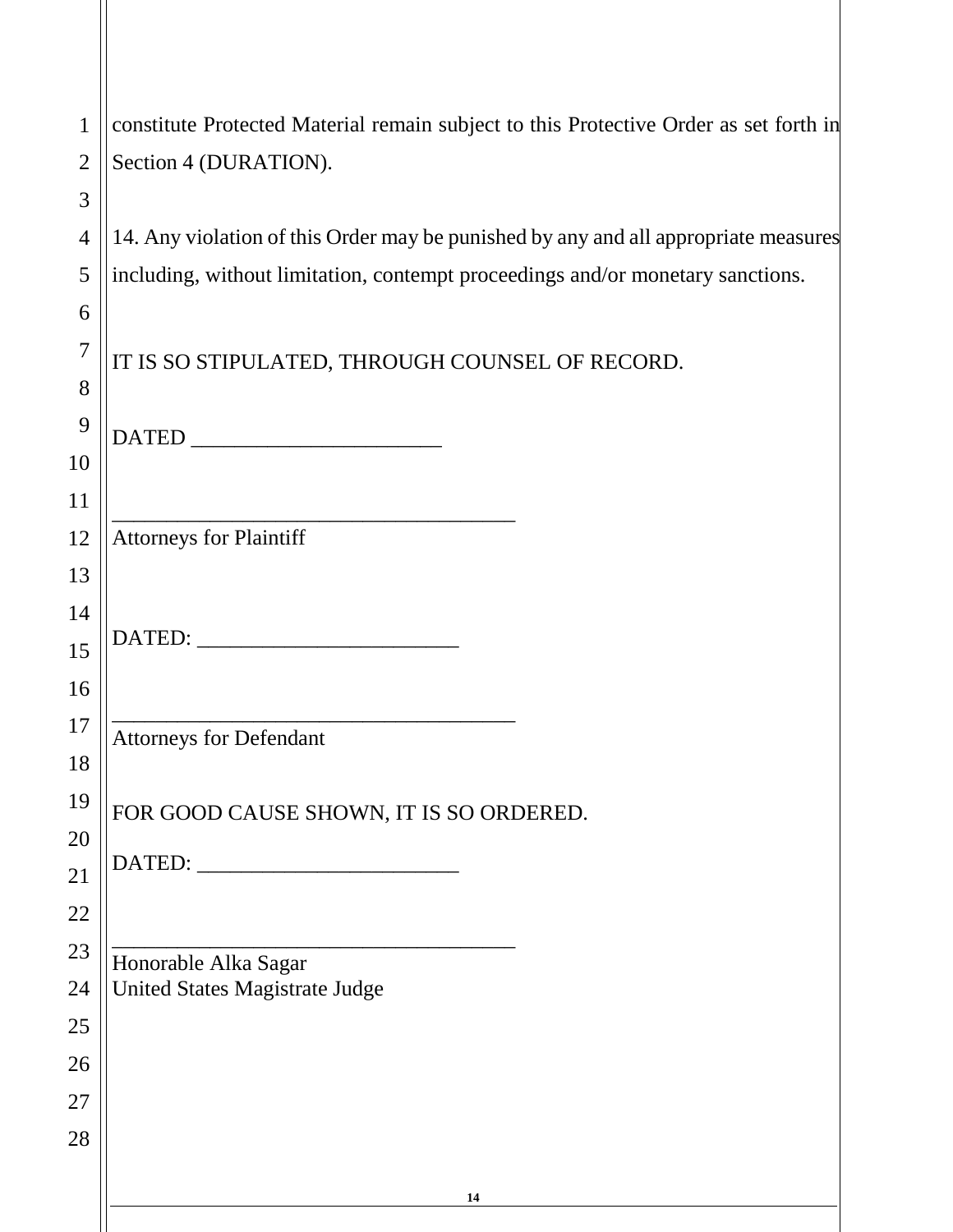| $\mathbf{1}$   | constitute Protected Material remain subject to this Protective Order as set forth in |
|----------------|---------------------------------------------------------------------------------------|
| $\overline{2}$ | Section 4 (DURATION).                                                                 |
| 3              |                                                                                       |
| $\overline{4}$ | 14. Any violation of this Order may be punished by any and all appropriate measures   |
| 5              | including, without limitation, contempt proceedings and/or monetary sanctions.        |
| 6              |                                                                                       |
| $\overline{7}$ | IT IS SO STIPULATED, THROUGH COUNSEL OF RECORD.                                       |
| 8              |                                                                                       |
| 9              |                                                                                       |
| 10             |                                                                                       |
| 11             |                                                                                       |
| 12             | <b>Attorneys for Plaintiff</b>                                                        |
| 13             |                                                                                       |
| 14             |                                                                                       |
| 15             |                                                                                       |
| 16             |                                                                                       |
| 17             | <b>Attorneys for Defendant</b>                                                        |
| 18             |                                                                                       |
| 19             | FOR GOOD CAUSE SHOWN, IT IS SO ORDERED.                                               |
| 20<br>21       |                                                                                       |
| 22             |                                                                                       |
| 23             |                                                                                       |
| 24             | Honorable Alka Sagar<br>United States Magistrate Judge                                |
| 25             |                                                                                       |
| 26             |                                                                                       |
| 27             |                                                                                       |
| 28             |                                                                                       |
|                |                                                                                       |
|                | 14                                                                                    |